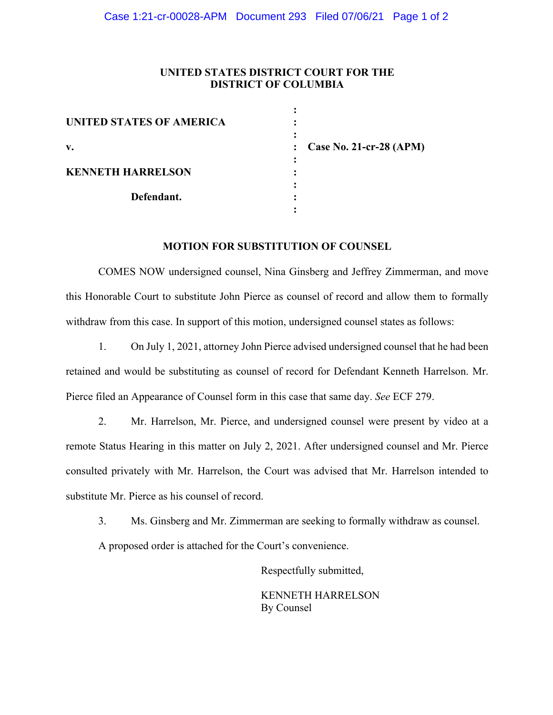### **UNITED STATES DISTRICT COURT FOR THE DISTRICT OF COLUMBIA**

| <b>UNITED STATES OF AMERICA</b> |                           |
|---------------------------------|---------------------------|
| v.                              | : Case No. 21-cr-28 (APM) |
| <b>KENNETH HARRELSON</b>        |                           |
| Defendant.                      |                           |
|                                 |                           |

#### **MOTION FOR SUBSTITUTION OF COUNSEL**

COMES NOW undersigned counsel, Nina Ginsberg and Jeffrey Zimmerman, and move this Honorable Court to substitute John Pierce as counsel of record and allow them to formally withdraw from this case. In support of this motion, undersigned counsel states as follows:

1. On July 1, 2021, attorney John Pierce advised undersigned counsel that he had been retained and would be substituting as counsel of record for Defendant Kenneth Harrelson. Mr. Pierce filed an Appearance of Counsel form in this case that same day. *See* ECF 279.

2. Mr. Harrelson, Mr. Pierce, and undersigned counsel were present by video at a remote Status Hearing in this matter on July 2, 2021. After undersigned counsel and Mr. Pierce consulted privately with Mr. Harrelson, the Court was advised that Mr. Harrelson intended to substitute Mr. Pierce as his counsel of record.

3. Ms. Ginsberg and Mr. Zimmerman are seeking to formally withdraw as counsel.

A proposed order is attached for the Court's convenience.

Respectfully submitted,

 KENNETH HARRELSON By Counsel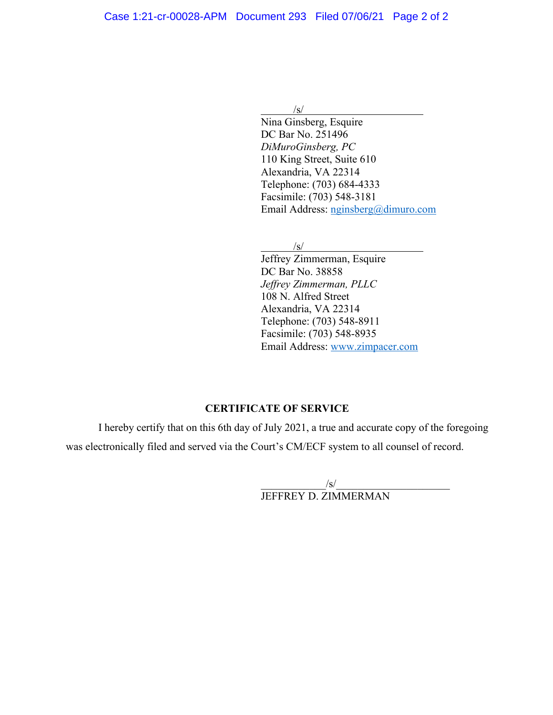/s/

 Nina Ginsberg, Esquire DC Bar No. 251496 *DiMuroGinsberg, PC* 110 King Street, Suite 610 Alexandria, VA 22314 Telephone: (703) 684-4333 Facsimile: (703) 548-3181 Email Address: nginsberg@dimuro.com

/s/

 Jeffrey Zimmerman, Esquire DC Bar No. 38858 *Jeffrey Zimmerman, PLLC* 108 N. Alfred Street Alexandria, VA 22314 Telephone: (703) 548-8911 Facsimile: (703) 548-8935 Email Address: www.zimpacer.com

# **CERTIFICATE OF SERVICE**

I hereby certify that on this 6th day of July 2021, a true and accurate copy of the foregoing was electronically filed and served via the Court's CM/ECF system to all counsel of record.

> $/\mathbf{s}/$ JEFFREY D. ZIMMERMAN